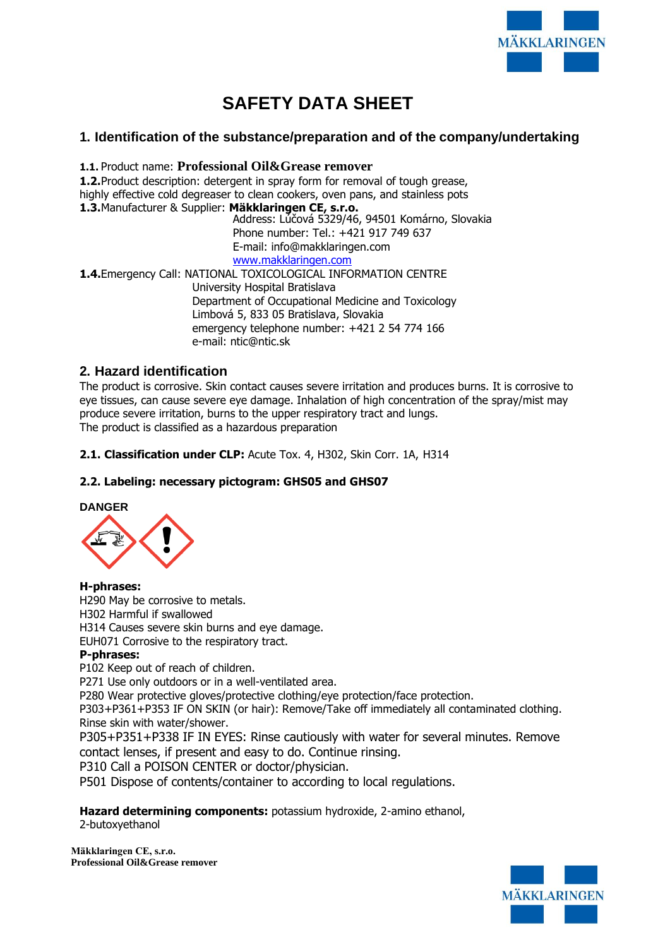

# **SAFETY DATA SHEET**

# **1. Identification of the substance/preparation and of the company/undertaking**

**1.1.** Product name: **Professional Oil&Grease remover**

**1.2.**Product description: detergent in spray form for removal of tough grease, highly effective cold degreaser to clean cookers, oven pans, and stainless pots **1.3.**Manufacturer & Supplier: **Mäkklaringen CE, s.r.o.**

Address: Lúčová 5329/46, 94501 Komárno, Slovakia Phone number: Tel.: +421 917 749 637 E-mail: [info@makklaringen.com](mailto:info@makklaringen.com)  [www.makklaringen.com](http://www.makklaringen.com/)

**1.4.**Emergency Call: NATIONAL TOXICOLOGICAL INFORMATION CENTRE University Hospital Bratislava Department of Occupational Medicine and Toxicology Limbová 5, 833 05 Bratislava, Slovakia emergency telephone number: +421 2 54 774 166 e-mail: [ntic@ntic.sk](mailto:ntic@ntic.sk)

# **2. Hazard identification**

The product is corrosive. Skin contact causes severe irritation and produces burns. It is corrosive to eye tissues, can cause severe eye damage. Inhalation of high concentration of the spray/mist may produce severe irritation, burns to the upper respiratory tract and lungs. The product is classified as a hazardous preparation

**2.1. Classification under CLP:** Acute Tox. 4, H302, Skin Corr. 1A, H314

# **2.2. Labeling: necessary pictogram: GHS05 and GHS07**

#### **DANGER**



**H-phrases:**

H290 May be corrosive to metals. H302 Harmful if swallowed H314 Causes severe skin burns and eye damage. EUH071 Corrosive to the respiratory tract.

# **P-phrases:**

P102 Keep out of reach of children.

P271 Use only outdoors or in a well-ventilated area.

P280 Wear protective gloves/protective clothing/eye protection/face protection.

P303+P361+P353 IF ON SKIN (or hair): Remove/Take off immediately all contaminated clothing. Rinse skin with water/shower.

P305+P351+P338 IF IN EYES: Rinse cautiously with water for several minutes. Remove contact lenses, if present and easy to do. Continue rinsing.

P310 Call a POISON CENTER or doctor/physician.

P501 Dispose of contents/container to according to local regulations.

**Hazard determining components:** potassium hydroxide, 2-amino ethanol, 2-butoxyethanol

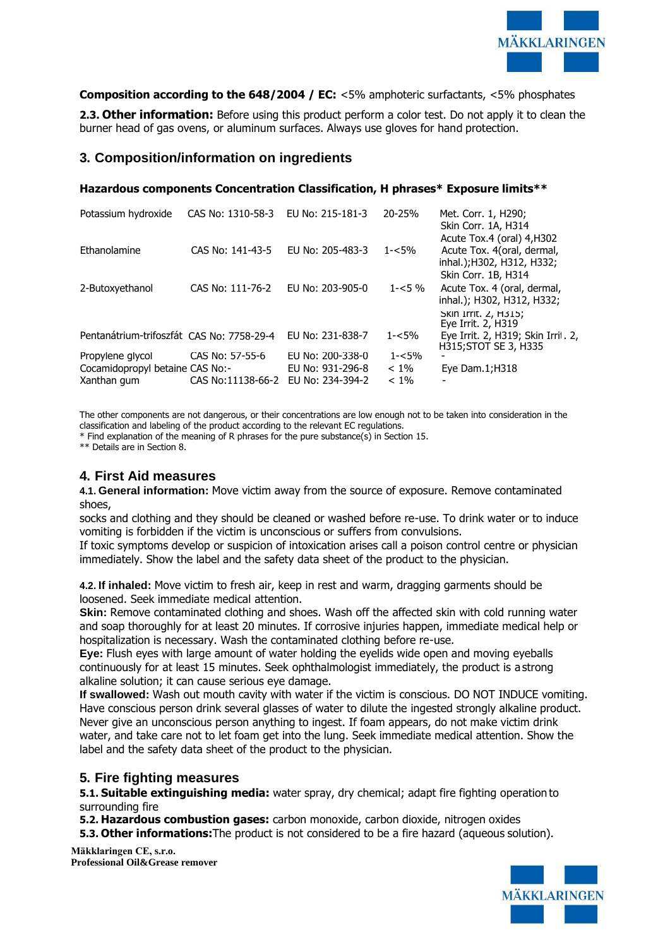

#### **Composition according to the 648/2004 / EC:** <5% amphoteric surfactants, <5% phosphates

**2.3. Other information:** Before using this product perform a color test. Do not apply it to clean the burner head of gas ovens, or aluminum surfaces. Always use gloves for hand protection.

### **3. Composition/information on ingredients**

#### **Hazardous components Concentration Classification, H phrases\* Exposure limits\*\***

| Potassium hydroxide                       | CAS No: 1310-58-3 | EU No: 215-181-3 | 20-25%    | Met. Corr. 1, H290;<br>Skin Corr. 1A, H314                                                                    |
|-------------------------------------------|-------------------|------------------|-----------|---------------------------------------------------------------------------------------------------------------|
| Ethanolamine                              | CAS No: 141-43-5  | EU No: 205-483-3 | $1 - 5%$  | Acute Tox.4 (oral) 4, H302<br>Acute Tox. 4(oral, dermal,<br>inhal.); H302, H312, H332;<br>Skin Corr. 1B, H314 |
| 2-Butoxyethanol                           | CAS No: 111-76-2  | EU No: 203-905-0 | $1 - 5\%$ | Acute Tox. 4 (oral, dermal,<br>inhal.); H302, H312, H332;<br>SKIN ITTIT. Z, H315;<br>Eye Irrit. 2, H319       |
| Pentanátrium-trifoszfát CAS No: 7758-29-4 |                   | EU No: 231-838-7 | $1 - 5%$  | Eye Irrit. 2, H319; Skin Irril. 2,<br>H315; STOT SE 3, H335                                                   |
| Propylene glycol                          | CAS No: 57-55-6   | EU No: 200-338-0 | $1 - 5%$  |                                                                                                               |
| Cocamidopropyl betaine CAS No:-           |                   | EU No: 931-296-8 | $< 1\%$   | Eye Dam. $1;H318$                                                                                             |
| Xanthan gum                               | CAS No:11138-66-2 | EU No: 234-394-2 | $< 1\%$   | $\blacksquare$                                                                                                |

The other components are not dangerous, or their concentrations are low enough not to be taken into consideration in the classification and labeling of the product according to the relevant EC regulations.

\* Find explanation of the meaning of R phrases for the pure substance(s) in Section 15.

\*\* Details are in Section 8.

# **4. First Aid measures**

**4.1. General information:** Move victim away from the source of exposure. Remove contaminated shoes,

socks and clothing and they should be cleaned or washed before re-use. To drink water or to induce vomiting is forbidden if the victim is unconscious or suffers from convulsions.

If toxic symptoms develop or suspicion of intoxication arises call a poison control centre or physician immediately. Show the label and the safety data sheet of the product to the physician.

**4.2. If inhaled:** Move victim to fresh air, keep in rest and warm, dragging garments should be loosened. Seek immediate medical attention.

**Skin:** Remove contaminated clothing and shoes. Wash off the affected skin with cold running water and soap thoroughly for at least 20 minutes. If corrosive injuries happen, immediate medical help or hospitalization is necessary. Wash the contaminated clothing before re-use.

**Eye:** Flush eyes with large amount of water holding the eyelids wide open and moving eyeballs continuously for at least 15 minutes. Seek ophthalmologist immediately, the product is a strong alkaline solution; it can cause serious eye damage.

**If swallowed:** Wash out mouth cavity with water if the victim is conscious. DO NOT INDUCE vomiting. Have conscious person drink several glasses of water to dilute the ingested strongly alkaline product. Never give an unconscious person anything to ingest. If foam appears, do not make victim drink water, and take care not to let foam get into the lung. Seek immediate medical attention. Show the label and the safety data sheet of the product to the physician.

# **5. Fire fighting measures**

**5.1. Suitable extinguishing media:** water spray, dry chemical; adapt fire fighting operation to surrounding fire

**5.2. Hazardous combustion gases:** carbon monoxide, carbon dioxide, nitrogen oxides

**5.3. Other informations:**The product is not considered to be a fire hazard (aqueous solution).

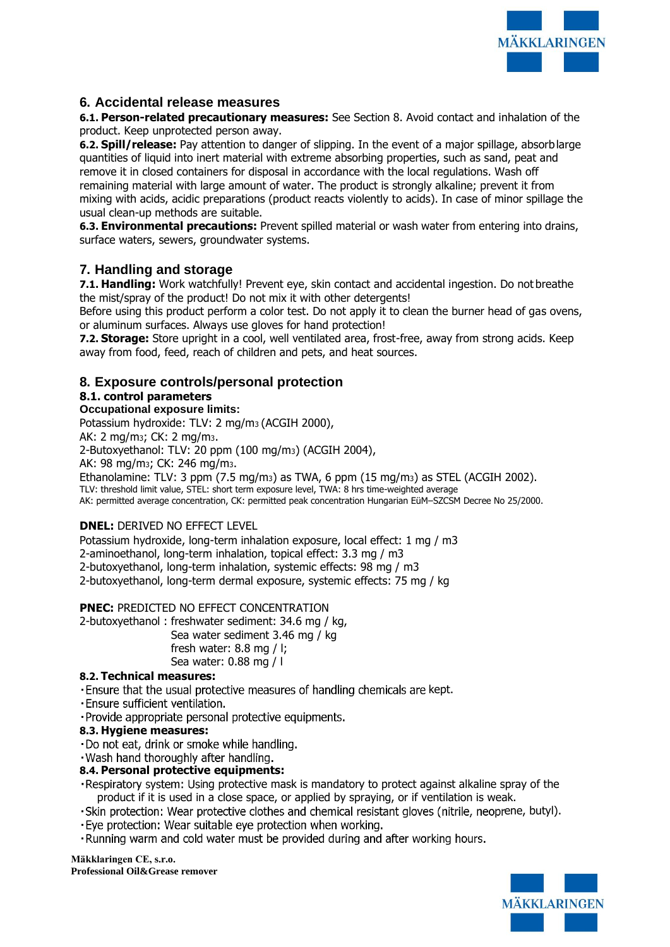

# **6. Accidental release measures**

**6.1. Person-related precautionary measures:** See Section 8. Avoid contact and inhalation of the product. Keep unprotected person away.

**6.2. Spill/release:** Pay attention to danger of slipping. In the event of a major spillage, absorblarge quantities of liquid into inert material with extreme absorbing properties, such as sand, peat and remove it in closed containers for disposal in accordance with the local regulations. Wash off remaining material with large amount of water. The product is strongly alkaline; prevent it from mixing with acids, acidic preparations (product reacts violently to acids). In case of minor spillage the usual clean-up methods are suitable.

**6.3. Environmental precautions:** Prevent spilled material or wash water from entering into drains, surface waters, sewers, groundwater systems.

# **7. Handling and storage**

**7.1. Handling:** Work watchfully! Prevent eye, skin contact and accidental ingestion. Do not breathe the mist/spray of the product! Do not mix it with other detergents!

Before using this product perform a color test. Do not apply it to clean the burner head of gas ovens, or aluminum surfaces. Always use gloves for hand protection!

**7.2. Storage:** Store upright in a cool, well ventilated area, frost-free, away from strong acids. Keep away from food, feed, reach of children and pets, and heat sources.

# **8. Exposure controls/personal protection**

# **8.1. control parameters**

#### **Occupational exposure limits:**

Potassium hydroxide: TLV: 2 mg/m3 (ACGIH 2000), AK: 2 mg/m3; CK: 2 mg/m3. 2-Butoxyethanol: TLV: 20 ppm (100 mg/m3) (ACGIH 2004), AK: 98 mg/m3; CK: 246 mg/m3. Ethanolamine: TLV: 3 ppm (7.5 mg/m3) as TWA, 6 ppm (15 mg/m3) as STEL (ACGIH 2002). TLV: threshold limit value, STEL: short term exposure level, TWA: 8 hrs time-weighted average AK: permitted average concentration, CK: permitted peak concentration Hungarian EüM–SZCSM Decree No 25/2000.

#### **DNEL:** DERIVED NO EFFECT LEVEL

Potassium hydroxide, long-term inhalation exposure, local effect: 1 mg / m3 2-aminoethanol, long-term inhalation, topical effect: 3.3 mg / m3 2-butoxyethanol, long-term inhalation, systemic effects: 98 mg / m3 2-butoxyethanol, long-term dermal exposure, systemic effects: 75 mg / kg

#### **PNEC:** PREDICTED NO EFFECT CONCENTRATION

2-butoxyethanol : freshwater sediment: 34.6 mg / kg,

Sea water sediment 3.46 mg / kg

fresh water: 8.8 mg / l; Sea water: 0.88 mg / l

#### **8.2. Technical measures:**

. Ensure that the usual protective measures of handling chemicals are kept.

· Ensure sufficient ventilation.

· Provide appropriate personal protective equipments.

#### **8.3. Hygiene measures:**

·Do not eat, drink or smoke while handling.

. Wash hand thoroughly after handling.

#### **8.4. Personal protective equipments:**

- Respiratory system: Using protective mask is mandatory to protect against alkaline spray of the product if it is used in a close space, or applied by spraying, or if ventilation is weak.
- . Skin protection: Wear protective clothes and chemical resistant gloves (nitrile, neoprene, butyl).
- . Eye protection: Wear suitable eye protection when working.
- . Running warm and cold water must be provided during and after working hours.

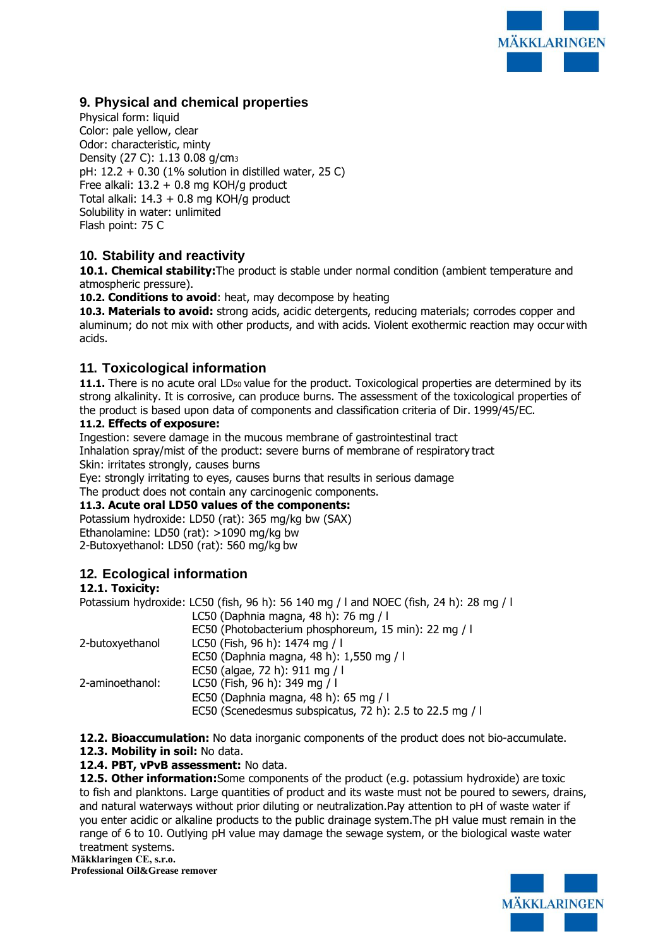

# **9. Physical and chemical properties**

Physical form: liquid Color: pale yellow, clear Odor: characteristic, minty Density (27 C): 1.13 0.08 g/cm<sup>3</sup> pH: 12.2 + 0.30 (1% solution in distilled water, 25 C) Free alkali:  $13.2 + 0.8$  mg KOH/g product Total alkali:  $14.3 + 0.8$  mg KOH/g product Solubility in water: unlimited Flash point: 75 C

# **10. Stability and reactivity**

**10.1. Chemical stability:**The product is stable under normal condition (ambient temperature and atmospheric pressure).

**10.2. Conditions to avoid**: heat, may decompose by heating

**10.3. Materials to avoid:** strong acids, acidic detergents, reducing materials; corrodes copper and aluminum; do not mix with other products, and with acids. Violent exothermic reaction may occur with acids.

# **11. Toxicological information**

11.1. There is no acute oral LD<sub>50</sub> value for the product. Toxicological properties are determined by its strong alkalinity. It is corrosive, can produce burns. The assessment of the toxicological properties of the product is based upon data of components and classification criteria of Dir. 1999/45/EC.

#### **11.2. Effects of exposure:**

Ingestion: severe damage in the mucous membrane of gastrointestinal tract Inhalation spray/mist of the product: severe burns of membrane of respiratory tract Skin: irritates strongly, causes burns

Eye: strongly irritating to eyes, causes burns that results in serious damage

The product does not contain any carcinogenic components.

#### **11.3. Acute oral LD50 values of the components:**

Potassium hydroxide: LD50 (rat): 365 mg/kg bw (SAX) Ethanolamine: LD50 (rat): >1090 mg/kg bw 2-Butoxyethanol: LD50 (rat): 560 mg/kg bw

# **12. Ecological information**

#### **12.1. Toxicity:**

|                 | Potassium hydroxide: LC50 (fish, 96 h): 56 140 mg / I and NOEC (fish, 24 h): 28 mg / I |
|-----------------|----------------------------------------------------------------------------------------|
|                 | LC50 (Daphnia magna, 48 h): 76 mg / l                                                  |
|                 | EC50 (Photobacterium phosphoreum, 15 min): 22 mg / l                                   |
| 2-butoxyethanol | LC50 (Fish, 96 h): 1474 mg / l                                                         |
|                 | EC50 (Daphnia magna, 48 h): 1,550 mg / l                                               |
|                 | EC50 (algae, 72 h): 911 mg / l                                                         |
| 2-aminoethanol: | LC50 (Fish, 96 h): 349 mg / l                                                          |
|                 | EC50 (Daphnia magna, 48 h): 65 mg / l                                                  |
|                 | EC50 (Scenedesmus subspicatus, 72 h): 2.5 to 22.5 mg / l                               |

**12.2. Bioaccumulation:** No data inorganic components of the product does not bio-accumulate.

**12.3. Mobility in soil:** No data.

#### **12.4. PBT, vPvB assessment:** No data.

**12.5. Other information:**Some components of the product (e.g. potassium hydroxide) are toxic to fish and planktons. Large quantities of product and its waste must not be poured to sewers, drains, and natural waterways without prior diluting or neutralization.Pay attention to pH of waste water if you enter acidic or alkaline products to the public drainage system.The pH value must remain in the range of 6 to 10. Outlying pH value may damage the sewage system, or the biological waste water treatment systems.

**Mäkklaringen CE, s.r.o.**

**Professional Oil&Grease remover**